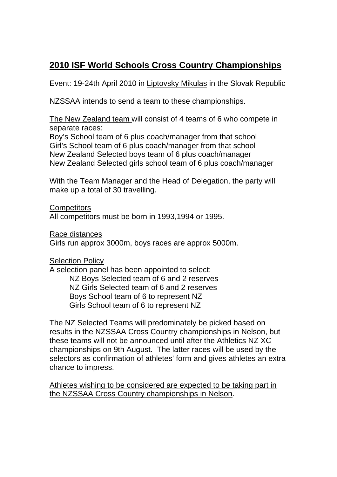# **2010 ISF World Schools Cross Country Championships**

Event: 19-24th April 2010 in Liptovsky Mikulas in the Slovak Republic

NZSSAA intends to send a team to these championships.

The New Zealand team will consist of 4 teams of 6 who compete in separate races:

Boy's School team of 6 plus coach/manager from that school Girl's School team of 6 plus coach/manager from that school New Zealand Selected boys team of 6 plus coach/manager New Zealand Selected girls school team of 6 plus coach/manager

With the Team Manager and the Head of Delegation, the party will make up a total of 30 travelling.

**Competitors** All competitors must be born in 1993,1994 or 1995.

Race distances

Girls run approx 3000m, boys races are approx 5000m.

Selection Policy

A selection panel has been appointed to select: NZ Boys Selected team of 6 and 2 reserves NZ Girls Selected team of 6 and 2 reserves Boys School team of 6 to represent NZ Girls School team of 6 to represent NZ

The NZ Selected Teams will predominately be picked based on results in the NZSSAA Cross Country championships in Nelson, but these teams will not be announced until after the Athletics NZ XC championships on 9th August. The latter races will be used by the selectors as confirmation of athletes' form and gives athletes an extra chance to impress.

Athletes wishing to be considered are expected to be taking part in the NZSSAA Cross Country championships in Nelson.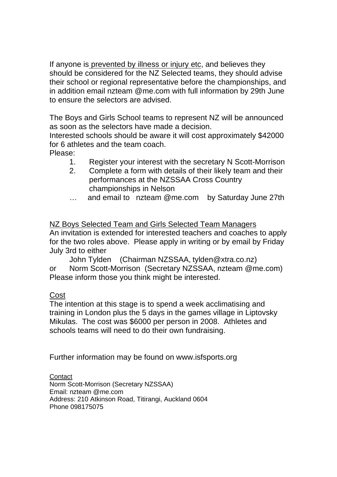If anyone is prevented by illness or injury etc, and believes they should be considered for the NZ Selected teams, they should advise their school or regional representative before the championships, and in addition email nzteam @me.com with full information by 29th June to ensure the selectors are advised.

The Boys and Girls School teams to represent NZ will be announced as soon as the selectors have made a decision.

Interested schools should be aware it will cost approximately \$42000 for 6 athletes and the team coach.

Please:

- 1. Register your interest with the secretary N Scott-Morrison
- 2. Complete a form with details of their likely team and their performances at the NZSSAA Cross Country championships in Nelson
- … and email to nzteam @me.com by Saturday June 27th

NZ Boys Selected Team and Girls Selected Team Managers An invitation is extended for interested teachers and coaches to apply for the two roles above. Please apply in writing or by email by Friday July 3rd to either

John Tylden (Chairman NZSSAA, tylden@xtra.co.nz) or Norm Scott-Morrison (Secretary NZSSAA, nzteam @me.com) Please inform those you think might be interested.

# Cost

The intention at this stage is to spend a week acclimatising and training in London plus the 5 days in the games village in Liptovsky Mikulas. The cost was \$6000 per person in 2008. Athletes and schools teams will need to do their own fundraising.

Further information may be found on www.isfsports.org

**Contact** Norm Scott-Morrison (Secretary NZSSAA) Email: nzteam @me.com Address: 210 Atkinson Road, Titirangi, Auckland 0604 Phone 098175075